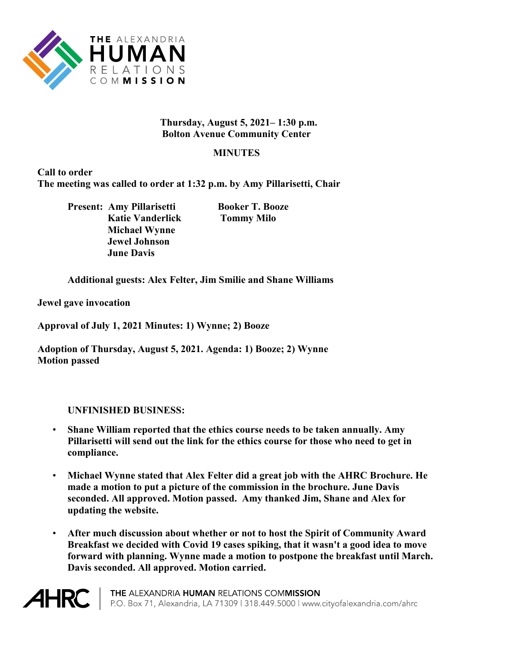

## **Thursday, August 5, 2021– 1:30 p.m. Bolton Avenue Community Center**

## **MINUTES**

**Call to order The meeting was called to order at 1:32 p.m. by Amy Pillarisetti, Chair**

> **Present: Amy Pillarisetti Booker T. Booze Katie Vanderlick Tommy Milo Michael Wynne Jewel Johnson June Davis**

**Additional guests: Alex Felter, Jim Smilie and Shane Williams**

**Jewel gave invocation**

**Approval of July 1, 2021 Minutes: 1) Wynne; 2) Booze**

**Adoption of Thursday, August 5, 2021. Agenda: 1) Booze; 2) Wynne Motion passed**

## **UNFINISHED BUSINESS:**

- **Shane William reported that the ethics course needs to be taken annually. Amy Pillarisetti will send out the link for the ethics course for those who need to get in compliance.**
- **Michael Wynne stated that Alex Felter did a great job with the AHRC Brochure. He made a motion to put a picture of the commission in the brochure. June Davis seconded. All approved. Motion passed. Amy thanked Jim, Shane and Alex for updating the website.**
- **After much discussion about whether or not to host the Spirit of Community Award Breakfast we decided with Covid 19 cases spiking, that it wasn't a good idea to move forward with planning. Wynne made a motion to postpone the breakfast until March. Davis seconded. All approved. Motion carried.**